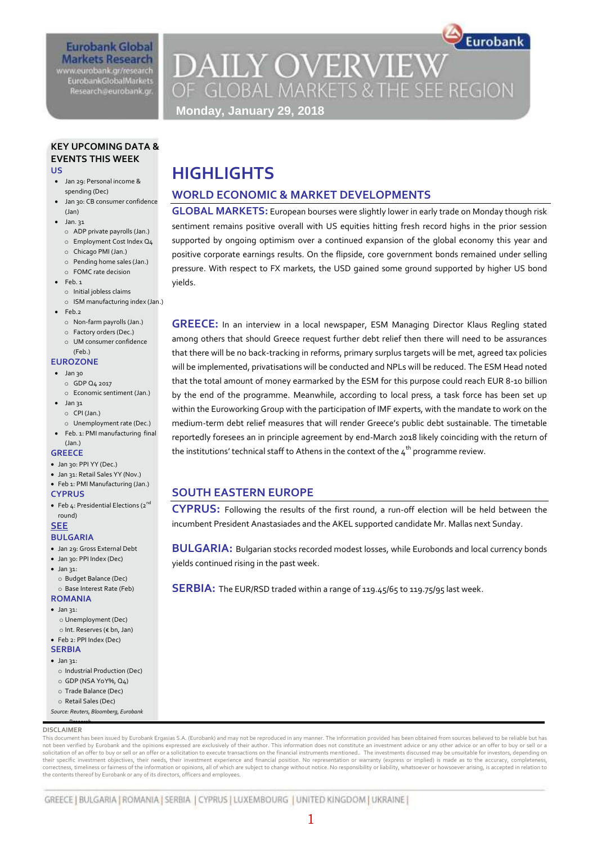# **Eurobank Global Markets Research**

www.eurobank.gr/research **EurobankGlobalMarkets** Research@eurobank.gr

# **DAILY OVERVIEW** OF GLOBAL MARKETS & THE SEE REGION **Monday, January 29, 2018**

Eurobank

# **KEY UPCOMING DATA & EVENTS THIS WEEK**

- **US**
- Jan 29: Personal income & spending (Dec)
- Jan 30: CB consumer confidence (Jan)
- $\bullet$  Jan. 31
	- o ADP private payrolls (Jan.)
	- o Employment Cost Index Q4
	- o Chicago PMI (Jan.) o Pending home sales (Jan.)
	- o FOMC rate decision
- $\bullet$  Feb. 1
	- o Initial jobless claims
	- o ISM manufacturing index (Jan.)
- $\bullet$  Feb.2
	- o Non-farm payrolls (Jan.)
	- o Factory orders (Dec.)
	- o UM consumer confidence

#### (Feb.)

- **EUROZONE**
- Jan 30
	- o GDP Q4 2017 o Economic sentiment (Jan.)
- $\bullet$  Jan 31 o CPI (Jan.) o Unemployment rate (Dec.)
- Feb. 1: PMI manufacturing final (Jan.)

#### **GREECE**

- Jan 30: PPI YY (Dec.)
- Jan 31: Retail Sales YY (Nov.)
- Feb 1: PMI Manufacturing (Jan.)
- **CYPRUS**
- Feb 4: Presidential Elections ( $2^{nd}$ round)

#### **SEE BULGARIA**

- Jan 29: Gross External Debt
- Jan 30: PPI Index (Dec)
- $\bullet$  Jan 31: o Budget Balance (Dec)
	- o Base Interest Rate (Feb)
- **ROMANIA**  $\bullet$  Jan 31:
	- o Unemployment (Dec)
	- o Int. Reserves (€ bn, Jan)
- Feb 2: PPI Index (Dec)
- **SERBIA**
- $\bullet$  Jan 31:
- o Industrial Production (Dec) o GDP (NSA YoY%, Q4)
- o Trade Balance (Dec)
- o Retail Sales (Dec)
- o *Source: Reuters, Bloomberg, Eurobank*

#### **DISCLAIMER** *Research*

This document has been issued by Eurobank Ergasias S.A. (Eurobank) and may not be reproduced in any manner. The information provided has been obtained from sources believed to be reliable but has not been verified by Eurobank and the opinions expressed are exclusively of their author. This information does not constitute an investment advice or any other advice or an offer to buy or sell or a solicitation of an offer to buy or sell or an offer or a solicitation to execute transactions on the financial instruments mentioned.. The investments discussed may be unsuitable for investors, depending on their specific investment objectives, their needs, their investment experience and financial position. No representation or warranty (express or implied) is made as to the accuracy, completeness, correctness, timeliness or fairness of the information or opinions, all of which are subject to change without notice. No responsibility or liability, whatsoever or howsoever arising, is accepted in relation to correctness the contents thereof by Eurobank or any of its directors, officers and employees. *Research*

# **HIGHLIGHTS**

## **WORLD ECONOMIC & MARKET DEVELOPMENTS**

**GLOBAL MARKETS:** European bourses were slightly lower in early trade on Monday though risk sentiment remains positive overall with US equities hitting fresh record highs in the prior session supported by ongoing optimism over a continued expansion of the global economy this year and positive corporate earnings results. On the flipside, core government bonds remained under selling pressure. With respect to FX markets, the USD gained some ground supported by higher US bond yields.

**GREECE:** In an interview in a local newspaper, ESM Managing Director Klaus Regling stated among others that should Greece request further debt relief then there will need to be assurances that there will be no back-tracking in reforms, primary surplus targets will be met, agreed tax policies will be implemented, privatisations will be conducted and NPLs will be reduced. The ESM Head noted that the total amount of money earmarked by the ESM for this purpose could reach EUR 8-10 billion by the end of the programme. Meanwhile, according to local press, a task force has been set up within the Euroworking Group with the participation of IMF experts, with the mandate to work on the medium-term debt relief measures that will render Greece's public debt sustainable. The timetable reportedly foresees an in principle agreement by end-March 2018 likely coinciding with the return of the institutions' technical staff to Athens in the context of the  $\boldsymbol{4}^{\text{th}}$  programme review.

# **SOUTH EASTERN EUROPE**

**CYPRUS:** Following the results of the first round, a run-off election will be held between the incumbent President Anastasiades and the AKEL supported candidate Mr. Mallas next Sunday.

**BULGARIA:** Bulgarian stocks recorded modest losses, while Eurobonds and local currency bonds yields continued rising in the past week.

**SERBIA:** The EUR/RSD traded within a range of 119.45/65 to 119.75/95 last week.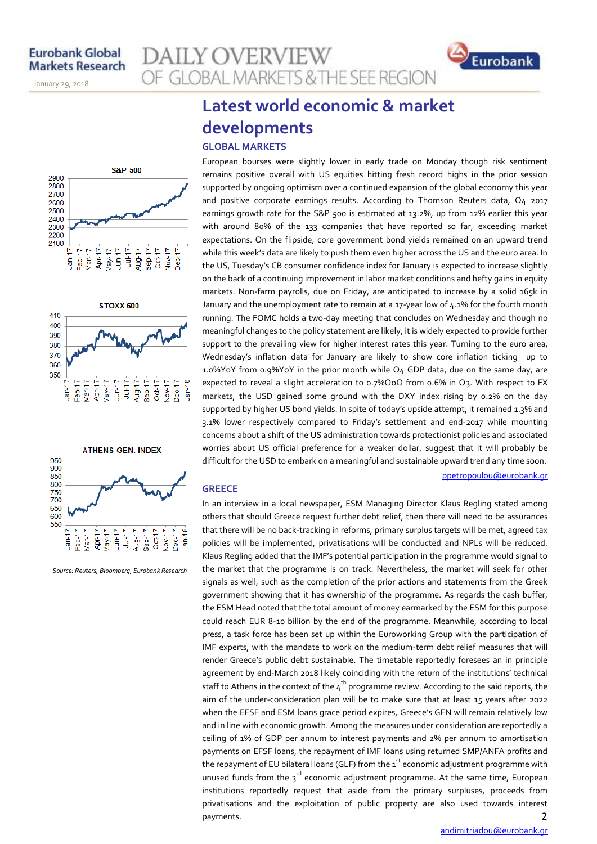November 14, 2013

January 29, 2018







*Source: Reuters, Bloomberg, Eurobank Research*

# **Latest world economic & market developments GLOBAL MARKETS**

**AILY OVERVIEW** 

OF GLOBAL MARKETS & THE SEE REGION

European bourses were slightly lower in early trade on Monday though risk sentiment remains positive overall with US equities hitting fresh record highs in the prior session supported by ongoing optimism over a continued expansion of the global economy this year and positive corporate earnings results. According to Thomson Reuters data, Q4 2017 earnings growth rate for the S&P 500 is estimated at 13.2%, up from 12% earlier this year with around 80% of the 133 companies that have reported so far, exceeding market expectations. On the flipside, core government bond yields remained on an upward trend while this week's data are likely to push them even higher across the US and the euro area. In the US, Tuesday's CB consumer confidence index for January is expected to increase slightly on the back of a continuing improvement in labor market conditions and hefty gains in equity markets. Non-farm payrolls, due on Friday, are anticipated to increase by a solid 165k in January and the unemployment rate to remain at a 17-year low of 4.1% for the fourth month running. The FOMC holds a two-day meeting that concludes on Wednesday and though no meaningful changes to the policy statement are likely, it is widely expected to provide further support to the prevailing view for higher interest rates this year. Turning to the euro area, Wednesday's inflation data for January are likely to show core inflation ticking up to 1.0%YoY from 0.9%YoY in the prior month while Q4 GDP data, due on the same day, are expected to reveal a slight acceleration to 0.7%QoQ from 0.6% in Q3. With respect to FX markets, the USD gained some ground with the DXY index rising by 0.2% on the day supported by higher US bond yields. In spite of today's upside attempt, it remained 1.3% and 3.1% lower respectively compared to Friday's settlement and end-2017 while mounting concerns about a shift of the US administration towards protectionist policies and associated worries about US official preference for a weaker dollar, suggest that it will probably be difficult for the USD to embark on a meaningful and sustainable upward trend any time soon.

#### **GREECE**

2 In an interview in a local newspaper, ESM Managing Director Klaus Regling stated among others that should Greece request further debt relief, then there will need to be assurances that there will be no back-tracking in reforms, primary surplus targets will be met, agreed tax policies will be implemented, privatisations will be conducted and NPLs will be reduced. Klaus Regling added that the IMF's potential participation in the programme would signal to the market that the programme is on track. Nevertheless, the market will seek for other signals as well, such as the completion of the prior actions and statements from the Greek government showing that it has ownership of the programme. As regards the cash buffer, the ESM Head noted that the total amount of money earmarked by the ESM for this purpose could reach EUR 8-10 billion by the end of the programme. Meanwhile, according to local press, a task force has been set up within the Euroworking Group with the participation of IMF experts, with the mandate to work on the medium-term debt relief measures that will render Greece's public debt sustainable. The timetable reportedly foresees an in principle agreement by end-March 2018 likely coinciding with the return of the institutions' technical staff to Athens in the context of the  $4<sup>th</sup>$  programme review. According to the said reports, the aim of the under-consideration plan will be to make sure that at least 15 years after 2022 when the EFSF and ESM loans grace period expires, Greece's GFN will remain relatively low and in line with economic growth. Among the measures under consideration are reportedly a ceiling of 1% of GDP per annum to interest payments and 2% per annum to amortisation payments on EFSF loans, the repayment of IMF loans using returned SMP/ANFA profits and the repayment of EU bilateral loans (GLF) from the  $1<sup>st</sup>$  economic adjustment programme with unused funds from the  $3^{rd}$  economic adjustment programme. At the same time, European institutions reportedly request that aside from the primary surpluses, proceeds from privatisations and the exploitation of public property are also used towards interest payments.

[ppetropoulou@eurobank.gr](mailto:ppetropoulou@eurobank.gr)

Eurobank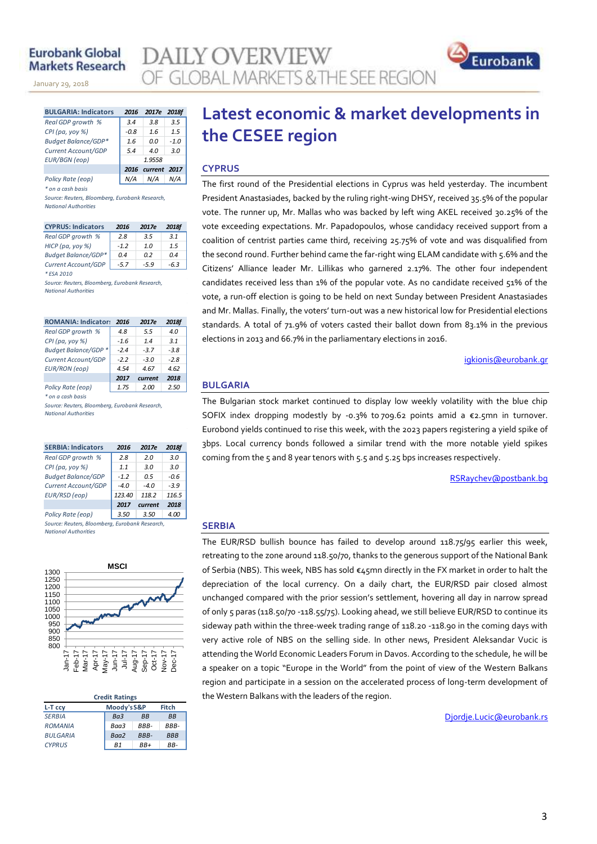### **Eurobank Global Markets Research**

November 14, 2013

January 29, 2018

| <b>BULGARIA: Indicators</b> | 2016   | 2017e             | 2018f  |  |  |  |
|-----------------------------|--------|-------------------|--------|--|--|--|
| Real GDP growth %           | 3.4    | 3.8               | 3.5    |  |  |  |
| CPI (pa, yoy %)             | -0.8   | 1.6               | 1.5    |  |  |  |
| Budget Balance/GDP*         | 1.6    | 0.0               | $-1.0$ |  |  |  |
| Current Account/GDP         | 5.4    | 4 N               | 3.0    |  |  |  |
| <b>EUR/BGN</b> (eop)        | 1.9558 |                   |        |  |  |  |
|                             |        | 2016 current 2017 |        |  |  |  |
| Policy Rate (eop)           |        | N/A               |        |  |  |  |

*\* on a cash basis*

*Source: Reuters, Bloomberg, Eurobank Research, National Authorities*

| <b>CYPRUS: Indicators</b>  | 2016   | 2017e  | <b>2018f</b> |
|----------------------------|--------|--------|--------------|
| Real GDP growth %          | 2.8    | 3.5    | 3.1          |
| HICP (pa, yoy %)           | $-1.2$ | 1.0    | 1.5          |
| <b>Budget Balance/GDP*</b> | 04     | 0.2    | 0.4          |
| Current Account/GDP        | $-5.7$ | $-5.9$ | -6.3         |
| * FSA 2010                 |        |        |              |

*Source: Reuters, Bloomberg, Eurobank Research, National Authorities*

| <b>ROMANIA: Indicator:</b> | 2016   | 2017e   | <b>2018f</b> |
|----------------------------|--------|---------|--------------|
| Real GDP growth %          | 4.8    | 5.5     | 4.0          |
| CPI (pa, yoy %)            | $-1.6$ | 14      | 3.1          |
| Budget Balance/GDP*        | $-2.4$ | $-3.7$  | $-3.8$       |
| Current Account/GDP        | $-2.2$ | $-3.0$  | $-2.8$       |
| <b>EUR/RON</b> (eop)       | 4.54   | 4.67    | 4.62         |
|                            | 2017   | current | 2018         |
| Policy Rate (eop)          | 1.75   | 2.00    | 2.50         |

*\* on a cash basis*

*Source: Reuters, Bloomberg, Eurobank Research, National Authorities*

| <b>SERBIA: Indicators</b>                      | 2016   | 2017e   | 2018f  |  |  |  |  |  |
|------------------------------------------------|--------|---------|--------|--|--|--|--|--|
| Real GDP growth %                              | 2.8    | 2.0     | 3.0    |  |  |  |  |  |
| $CPI$ (pa, yoy %)                              | 1.1    | 3.0     | 3.0    |  |  |  |  |  |
| <b>Budget Balance/GDP</b>                      | $-1.2$ | 0.5     | -0.6   |  |  |  |  |  |
| Current Account/GDP                            | $-4.0$ | -40     | $-3.9$ |  |  |  |  |  |
| EUR/RSD (eop)                                  | 123.40 | 118.2   | 116.5  |  |  |  |  |  |
|                                                | 2017   | current | 2018   |  |  |  |  |  |
| Policy Rate (eop)                              | 3.50   | 3.50    | 4.00   |  |  |  |  |  |
| Source: Reuters, Bloomberg, Eurobank Research, |        |         |        |  |  |  |  |  |

*National Authorities*



| <b>Credit Ratings</b> |                             |             |            |  |  |  |  |  |
|-----------------------|-----------------------------|-------------|------------|--|--|--|--|--|
| L-T ccy               | Moody's S&P<br><b>Fitch</b> |             |            |  |  |  |  |  |
| <b>SERBIA</b>         | Ba <sub>3</sub>             | <b>BB</b>   | <b>BB</b>  |  |  |  |  |  |
| <b>ROMANIA</b>        | Ваа3                        | RRR-        | BBB-       |  |  |  |  |  |
| <b>BULGARIA</b>       | Baa2                        | <b>BBB-</b> | <b>BBB</b> |  |  |  |  |  |
| <b>CYPRUS</b>         | R1                          | RR+         | RR-        |  |  |  |  |  |

# **Latest economic & market developments in the CESEE region**

#### **CYPRUS**

**AILY OVERVIEW** 

OF GLOBAL MARKETS & THE SEE REGION

The first round of the Presidential elections in Cyprus was held yesterday. The incumbent President Anastasiades, backed by the ruling right-wing DHSY, received 35.5% of the popular vote. The runner up, Mr. Mallas who was backed by left wing AKEL received 30.25% of the vote exceeding expectations. Mr. Papadopoulos, whose candidacy received support from a coalition of centrist parties came third, receiving 25.75% of vote and was disqualified from the second round. Further behind came the far-right wing ELAM candidate with 5.6% and the Citizens' Alliance leader Mr. Lillikas who garnered 2.17%. The other four independent candidates received less than 1% of the popular vote. As no candidate received 51% of the vote, a run-off election is going to be held on next Sunday between President Anastasiades and Mr. Mallas. Finally, the voters' turn-out was a new historical low for Presidential elections standards. A total of 71.9% of voters casted their ballot down from 83.1% in the previous elections in 2013 and 66.7% in the parliamentary elections in 2016.

[igkionis@eurobank.gr](mailto:igkionis@eurobank.gr)

### **BULGARIA**

The Bulgarian stock market continued to display low weekly volatility with the blue chip SOFIX index dropping modestly by -0.3% to 709.62 points amid a  $\epsilon$ 2.5mn in turnover. Eurobond yields continued to rise this week, with the 2023 papers registering a yield spike of 3bps. Local currency bonds followed a similar trend with the more notable yield spikes coming from the 5 and 8 year tenors with 5.5 and 5.25 bps increases respectively.

[RSRaychev@postbank.bg](mailto:RSRaychev@postbank.bg)

### **SERBIA**

The EUR/RSD bullish bounce has failed to develop around 118.75/95 earlier this week, retreating to the zone around 118.50/70, thanks to the generous support of the National Bank of Serbia (NBS). This week, NBS has sold  $\epsilon$ 45mn directly in the FX market in order to halt the depreciation of the local currency. On a daily chart, the EUR/RSD pair closed almost unchanged compared with the prior session's settlement, hovering all day in narrow spread of only 5 paras (118.50/70 -118.55/75). Looking ahead, we still believe EUR/RSD to continue its sideway path within the three-week trading range of 118.20 -118.90 in the coming days with very active role of NBS on the selling side. In other news, President Aleksandar Vucic is attending the World Economic Leaders Forum in Davos. According to the schedule, he will be a speaker on a topic "Europe in the World" from the point of view of the Western Balkans region and participate in a session on the accelerated process of long-term development of the Western Balkans with the leaders of the region.

[Djordje.Lucic@eurobank.rs](mailto:Djordje.Lucic@eurobank.rs)

Eurobank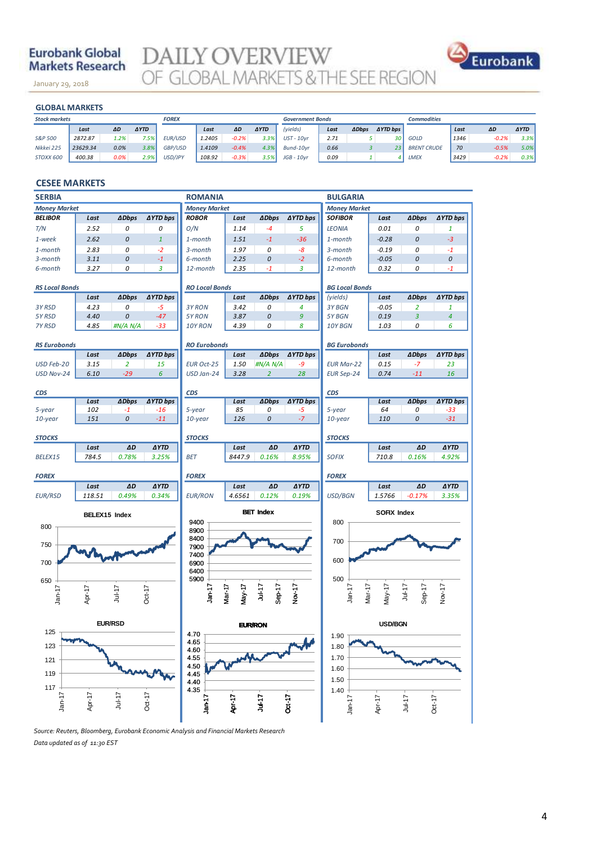## **Eurobank Global Markets Research**

January 29, 2018

**DAILY OVERVIEW**<br>OF GLOBAL MARKETS & THE SEE REGION



|                      | <b>GLOBAL MARKETS</b> |      |             |              |        |         |             |                         |      |              |                 |                    |      |         |             |
|----------------------|-----------------------|------|-------------|--------------|--------|---------|-------------|-------------------------|------|--------------|-----------------|--------------------|------|---------|-------------|
| <b>Stock markets</b> |                       |      |             | <b>FOREX</b> |        |         |             | <b>Government Bonds</b> |      |              |                 | <b>Commodities</b> |      |         |             |
|                      | Last                  | ΔD   | <b>AYTD</b> |              | Last   | ΔD      | <b>AYTD</b> | (yields)                | Last | <b>ADbps</b> | <b>AYTD bps</b> |                    | Last | ΔD      | <b>AYTD</b> |
| S&P 500              | 2872.87               | 1.2% | 7.5%        | EUR/USD      | 1.2405 | $-0.2%$ | 3.3%        | $UST - 10yr$            | 2.71 |              | 30 <sup>1</sup> | GOLD               | 1346 | $-0.2%$ | 3.3%        |
| Nikkei 225           | 23629.34              | 0.0% | 3.8%        | GBP/USD      | 1.4109 | $-0.4%$ | 4.3%        | Bund-10vr               | 0.66 |              | 23              | <b>BRENT CRUDE</b> | 70   | $-0.5%$ | 5.0%        |
| STOXX 600            | 400.38                | 0.0% | 2.9%        | USD/JPY      | 108.92 | $-0.3%$ | 3.5%        | $JGB - 10yr$            | 0.09 |              | 4               | LMEX               | 3429 | $-0.2%$ | 0.3%        |
|                      |                       |      |             |              |        |         |             |                         |      |              |                 |                    |      |         |             |

#### **CESEE MARKETS**

| <b>SERBIA</b>                           | <b>ROMANIA</b> |                |                 |                       |                  |                  | <b>BULGARIA</b> |                               |                    |                |                 |  |
|-----------------------------------------|----------------|----------------|-----------------|-----------------------|------------------|------------------|-----------------|-------------------------------|--------------------|----------------|-----------------|--|
| <b>Money Market</b>                     |                |                |                 | <b>Money Market</b>   |                  |                  |                 | <b>Money Market</b>           |                    |                |                 |  |
| <b>BELIBOR</b>                          | Last           | <b>ADbps</b>   | <b>AYTD bps</b> | <b>ROBOR</b>          | Last             | <b>ADbps</b>     | ∆YTD bps        | <b>SOFIBOR</b>                | Last               | <b>ADbps</b>   | <b>∆YTD bps</b> |  |
| T/N                                     | 2.52           | 0              | 0               | O/N                   | 1.14             | $-4$             | 5               | <b>LEONIA</b>                 | 0.01               | 0              | 1               |  |
| 1-week                                  | 2.62           | 0              | $\mathbf{1}$    | 1-month               | 1.51             | $-1$             | $-36$           | 1-month                       | $-0.28$            | 0              | $-3$            |  |
| 1-month                                 | 2.83           | 0              | $-2$            | 3-month               | 1.97             | 0                | -8              | 3-month                       | $-0.19$            | 0              | $-1$            |  |
| 3-month                                 | 3.11           | 0              | $-1$            | 6-month               | 2.25             | 0                | $-2$            | 6-month                       | $-0.05$            | 0              | 0               |  |
| 6-month                                 | 3.27           | 0              | 3               | 12-month              | 2.35             | $-1$             | 3               | 12-month                      | 0.32               | 0              | $-1$            |  |
|                                         |                |                |                 |                       |                  |                  |                 |                               |                    |                |                 |  |
| <b>RS Local Bonds</b>                   |                |                |                 | <b>RO Local Bonds</b> |                  |                  |                 | <b>BG Local Bonds</b>         |                    |                |                 |  |
|                                         | Last           | <b>ADbps</b>   | <b>AYTD bps</b> |                       | Last             | <b>∆Dbps</b>     | <b>∆YTD bps</b> | (yields)                      | Last               | <b>ADbps</b>   | <b>AYTD bps</b> |  |
| 3Y RSD                                  | 4.23           | 0              | $-5$            | 3Y RON                | 3.42             | 0                | 4               | 3Y BGN                        | $-0.05$            | $\overline{2}$ | 1               |  |
| 5Y RSD                                  | 4.40           | 0              | $-47$           | 5Y RON                | 3.87             | 0                | 9               | 5Y BGN                        | 0.19               | 3              | $\overline{4}$  |  |
| 7Y RSD                                  | 4.85           | #N/A N/A       | $-33$           | 10Y RON               | 4.39             | 0                | 8               | 10Y BGN                       | 1.03               | 0              | 6               |  |
|                                         |                |                |                 |                       |                  |                  |                 |                               |                    |                |                 |  |
| <b>RS Eurobonds</b>                     |                |                |                 | <b>RO Eurobonds</b>   |                  |                  |                 | <b>BG Eurobonds</b>           |                    |                |                 |  |
|                                         | Last           | <b>ADbps</b>   | <b>AYTD bps</b> |                       | Last             | <b>ADbps</b>     | ∆YTD bps        |                               | Last               | <b>ADbps</b>   | <b>AYTD bps</b> |  |
| USD Feb-20                              | 3.15           | $\overline{2}$ | 15              | <b>EUR Oct-25</b>     | 1.50             | #N/A N/A         | $-9$            | <b>EUR Mar-22</b>             | 0.15               | $-7$           | 23              |  |
| USD Nov-24                              | 6.10           | $-29$          | 6               | USD Jan-24            | 3.28             | $\overline{2}$   | 28              | <b>EUR Sep-24</b>             | 0.74               | $-11$          | 16              |  |
| <b>CDS</b>                              |                |                |                 | <b>CDS</b>            |                  |                  |                 | <b>CDS</b>                    |                    |                |                 |  |
|                                         | Last           | <b>ADbps</b>   | <b>AYTD bps</b> |                       | Last             | <b>ADbps</b>     | <b>AYTD bps</b> |                               | Last               | <b>ADbps</b>   | <b>AYTD bps</b> |  |
| 5-year                                  | 102            | $-1$           | $-16$           | 5-year                | 85               | 0                | -5              | 5-year                        | 64                 | 0              | $-33$           |  |
| 10-year                                 | 151            | 0              | $-11$           | 10-year               | 126              | 0                | $-7$            | $10$ -year                    | 110                | 0              | $-31$           |  |
|                                         |                |                |                 |                       |                  |                  |                 |                               |                    |                |                 |  |
| <b>STOCKS</b>                           |                |                |                 | <b>STOCKS</b>         |                  |                  |                 | <b>STOCKS</b>                 |                    |                |                 |  |
|                                         | Last           | $\Delta D$     | <b>AYTD</b>     |                       | Last             | AD               | <b>AYTD</b>     |                               | Last               | $\Delta D$     | <b>AYTD</b>     |  |
| BELEX15                                 | 784.5          | 0.78%          | 3.25%           | <b>BET</b>            | 8447.9           | 0.16%            | 8.95%           | <b>SOFIX</b>                  | 710.8              | 0.16%          | 4.92%           |  |
|                                         |                |                |                 |                       |                  |                  |                 |                               |                    |                |                 |  |
| <b>FOREX</b>                            |                |                |                 | <b>FOREX</b>          |                  |                  |                 | <b>FOREX</b>                  |                    |                |                 |  |
|                                         | Last           | ΔD             | <b>AYTD</b>     |                       | Last             | ΔD               | <b>AYTD</b>     |                               | Last               | ΔD             | <b>AYTD</b>     |  |
| <b>EUR/RSD</b>                          | 118.51         | 0.49%          | 0.34%           | <b>EUR/RON</b>        | 4.6561           | 0.12%            | 0.19%           | USD/BGN                       | 1.5766             | $-0.17%$       | 3.35%           |  |
|                                         |                |                |                 |                       |                  | <b>BET Index</b> |                 |                               | <b>SOFIX Index</b> |                |                 |  |
|                                         | BELEX15 Index  |                |                 | 9400                  |                  |                  |                 | 800                           |                    |                |                 |  |
| 800                                     |                |                |                 | 8900                  |                  |                  |                 |                               |                    |                |                 |  |
|                                         |                |                |                 | 8400                  |                  |                  |                 | 700                           |                    |                |                 |  |
| 750                                     |                |                |                 | 7900                  |                  |                  |                 |                               |                    |                |                 |  |
| 700                                     |                |                |                 | 7400<br>6900          |                  |                  |                 | 600                           |                    |                |                 |  |
|                                         |                |                |                 | 6400                  |                  |                  |                 |                               |                    |                |                 |  |
| 650                                     |                |                |                 | 5900                  |                  |                  |                 | 500                           |                    |                |                 |  |
|                                         |                |                |                 |                       |                  | Jul-17           |                 |                               |                    | Jul-17         |                 |  |
| $Jan-17$                                | Apr-17         | $Jul-17$       | $Oct-17$        | Jan-17                | Mar-17<br>May-17 | Sep-17           | Nov-17          | Jan <sub>17</sub><br>$Mar-17$ | $May-17$           | Sep-17         | Nov-17          |  |
|                                         |                |                |                 |                       |                  |                  |                 |                               |                    |                |                 |  |
|                                         |                |                |                 |                       |                  |                  |                 |                               |                    |                |                 |  |
| <b>EUR/RSD</b><br><b>EUR/RON</b><br>125 |                |                |                 |                       |                  |                  | <b>USD/BGN</b>  |                               |                    |                |                 |  |
|                                         |                |                |                 | 470                   |                  |                  |                 | 1.90                          |                    |                |                 |  |
| 123                                     |                |                |                 | 4.65<br>4.60          |                  |                  |                 | 1.80                          |                    |                |                 |  |
| 121                                     |                |                |                 | $4.55$<br>$4.50$      |                  |                  |                 | 1.70                          |                    |                |                 |  |
|                                         |                |                |                 |                       |                  |                  |                 | 1.60                          |                    |                |                 |  |
| 119                                     |                |                |                 | 4.45                  |                  |                  |                 | 1.50                          |                    |                |                 |  |
| 117                                     |                |                |                 | $4.40$<br>$4.35$      |                  |                  |                 | 1.40                          |                    |                |                 |  |
| $Jan-17$                                | Apr-17         | Jul-17         | $Oct-17$        | $Jan-17$              |                  | Jul-17           |                 |                               |                    |                |                 |  |
|                                         |                |                |                 |                       | Apr-17           |                  | Oct-17          | $Jan-17$                      | Apr-17             | Jul-17         | $Oct-17$        |  |
|                                         |                |                |                 |                       |                  |                  |                 |                               |                    |                |                 |  |

*Source: Reuters, Bloomberg, Eurobank Economic Analysis and Financial Markets Research Data updated as of 11:30 EST*